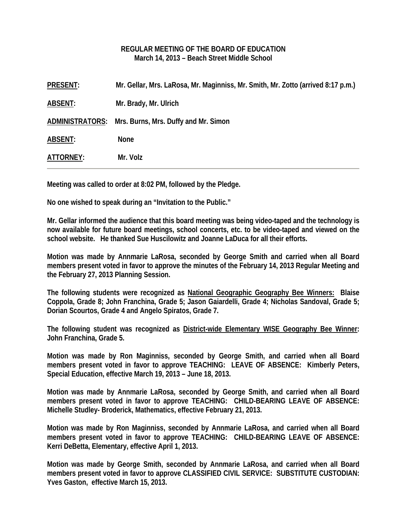#### **REGULAR MEETING OF THE BOARD OF EDUCATION March 14, 2013 – Beach Street Middle School**

| Mr. Gellar, Mrs. LaRosa, Mr. Maginniss, Mr. Smith, Mr. Zotto (arrived 8:17 p.m.)<br><b>PRESENT:</b> |  |
|-----------------------------------------------------------------------------------------------------|--|
| Mr. Brady, Mr. Ulrich<br><b>ABSENT:</b>                                                             |  |
| ADMINISTRATORS: Mrs. Burns, Mrs. Duffy and Mr. Simon                                                |  |
| <b>ABSENT:</b><br><b>None</b>                                                                       |  |
| Mr. Volz<br>ATTORNEY:                                                                               |  |

**Meeting was called to order at 8:02 PM, followed by the Pledge.** 

**No one wished to speak during an "Invitation to the Public."** 

**Mr. Gellar informed the audience that this board meeting was being video-taped and the technology is now available for future board meetings, school concerts, etc. to be video-taped and viewed on the school website. He thanked Sue Huscilowitz and Joanne LaDuca for all their efforts.** 

**Motion was made by Annmarie LaRosa, seconded by George Smith and carried when all Board members present voted in favor to approve the minutes of the February 14, 2013 Regular Meeting and the February 27, 2013 Planning Session.** 

**The following students were recognized as National Geographic Geography Bee Winners: Blaise Coppola, Grade 8; John Franchina, Grade 5; Jason Gaiardelli, Grade 4; Nicholas Sandoval, Grade 5; Dorian Scourtos, Grade 4 and Angelo Spiratos, Grade 7.** 

**The following student was recognized as District-wide Elementary WISE Geography Bee Winner: John Franchina, Grade 5.** 

**Motion was made by Ron Maginniss, seconded by George Smith, and carried when all Board members present voted in favor to approve TEACHING: LEAVE OF ABSENCE: Kimberly Peters, Special Education, effective March 19, 2013 – June 18, 2013.** 

**Motion was made by Annmarie LaRosa, seconded by George Smith, and carried when all Board members present voted in favor to approve TEACHING: CHILD-BEARING LEAVE OF ABSENCE: Michelle Studley- Broderick, Mathematics, effective February 21, 2013.** 

**Motion was made by Ron Maginniss, seconded by Annmarie LaRosa, and carried when all Board members present voted in favor to approve TEACHING: CHILD-BEARING LEAVE OF ABSENCE: Kerri DeBetta, Elementary, effective April 1, 2013.** 

**Motion was made by George Smith, seconded by Annmarie LaRosa, and carried when all Board members present voted in favor to approve CLASSIFIED CIVIL SERVICE: SUBSTITUTE CUSTODIAN: Yves Gaston, effective March 15, 2013.**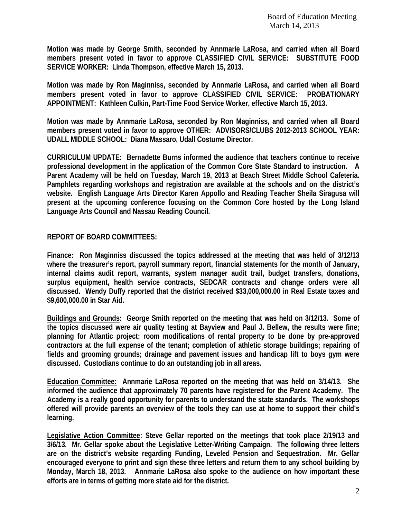**Motion was made by George Smith, seconded by Annmarie LaRosa, and carried when all Board members present voted in favor to approve CLASSIFIED CIVIL SERVICE: SUBSTITUTE FOOD SERVICE WORKER: Linda Thompson, effective March 15, 2013.** 

**Motion was made by Ron Maginniss, seconded by Annmarie LaRosa, and carried when all Board members present voted in favor to approve CLASSIFIED CIVIL SERVICE: PROBATIONARY APPOINTMENT: Kathleen Culkin, Part-Time Food Service Worker, effective March 15, 2013.** 

**Motion was made by Annmarie LaRosa, seconded by Ron Maginniss, and carried when all Board members present voted in favor to approve OTHER: ADVISORS/CLUBS 2012-2013 SCHOOL YEAR: UDALL MIDDLE SCHOOL: Diana Massaro, Udall Costume Director.** 

**CURRICULUM UPDATE: Bernadette Burns informed the audience that teachers continue to receive professional development in the application of the Common Core State Standard to instruction. A Parent Academy will be held on Tuesday, March 19, 2013 at Beach Street Middle School Cafeteria. Pamphlets regarding workshops and registration are available at the schools and on the district's website. English Language Arts Director Karen Appollo and Reading Teacher Sheila Siragusa will present at the upcoming conference focusing on the Common Core hosted by the Long Island Language Arts Council and Nassau Reading Council.**

#### **REPORT OF BOARD COMMITTEES:**

**Finance: Ron Maginniss discussed the topics addressed at the meeting that was held of 3/12/13 where the treasurer's report, payroll summary report, financial statements for the month of January, internal claims audit report, warrants, system manager audit trail, budget transfers, donations, surplus equipment, health service contracts, SEDCAR contracts and change orders were all discussed. Wendy Duffy reported that the district received \$33,000,000.00 in Real Estate taxes and \$9,600,000.00 in Star Aid.** 

**Buildings and Grounds: George Smith reported on the meeting that was held on 3/12/13. Some of the topics discussed were air quality testing at Bayview and Paul J. Bellew, the results were fine; planning for Atlantic project; room modifications of rental property to be done by pre-approved contractors at the full expense of the tenant; completion of athletic storage buildings; repairing of fields and grooming grounds; drainage and pavement issues and handicap lift to boys gym were discussed. Custodians continue to do an outstanding job in all areas.** 

**Education Committee: Annmarie LaRosa reported on the meeting that was held on 3/14/13. She informed the audience that approximately 70 parents have registered for the Parent Academy. The Academy is a really good opportunity for parents to understand the state standards. The workshops offered will provide parents an overview of the tools they can use at home to support their child's learning.** 

**Legislative Action Committee: Steve Gellar reported on the meetings that took place 2/19/13 and 3/6/13. Mr. Gellar spoke about the Legislative Letter-Writing Campaign. The following three letters are on the district's website regarding Funding, Leveled Pension and Sequestration. Mr. Gellar encouraged everyone to print and sign these three letters and return them to any school building by Monday, March 18, 2013. Annmarie LaRosa also spoke to the audience on how important these efforts are in terms of getting more state aid for the district.**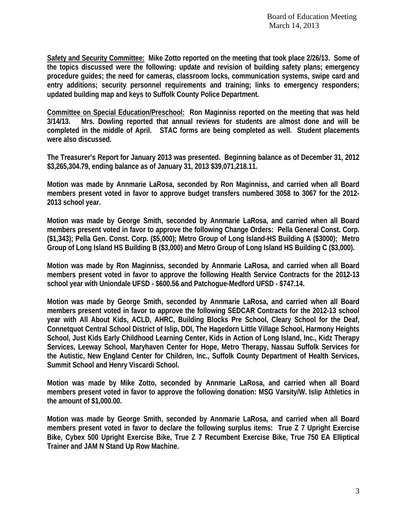**Safety and Security Committee: Mike Zotto reported on the meeting that took place 2/26/13. Some of the topics discussed were the following: update and revision of building safety plans; emergency procedure guides; the need for cameras, classroom locks, communication systems, swipe card and entry additions; security personnel requirements and training; links to emergency responders; updated building map and keys to Suffolk County Police Department.** 

**Committee on Special Education/Preschool: Ron Maginniss reported on the meeting that was held 3/14/13. Mrs. Dowling reported that annual reviews for students are almost done and will be completed in the middle of April. STAC forms are being completed as well. Student placements were also discussed.** 

**The Treasurer's Report for January 2013 was presented. Beginning balance as of December 31, 2012 \$3,265,304.79, ending balance as of January 31, 2013 \$39,071,218.11.** 

**Motion was made by Annmarie LaRosa, seconded by Ron Maginniss, and carried when all Board members present voted in favor to approve budget transfers numbered 3058 to 3067 for the 2012- 2013 school year.** 

**Motion was made by George Smith, seconded by Annmarie LaRosa, and carried when all Board members present voted in favor to approve the following Change Orders: Pella General Const. Corp. (\$1,343); Pella Gen. Const. Corp. (\$5,000); Metro Group of Long Island-HS Building A (\$3000); Metro Group of Long Island HS Building B (\$3,000) and Metro Group of Long Island HS Building C (\$3,000).** 

**Motion was made by Ron Maginniss, seconded by Annmarie LaRosa, and carried when all Board members present voted in favor to approve the following Health Service Contracts for the 2012-13 school year with Uniondale UFSD - \$600.56 and Patchogue-Medford UFSD - \$747.14.** 

**Motion was made by George Smith, seconded by Annmarie LaRosa, and carried when all Board members present voted in favor to approve the following SEDCAR Contracts for the 2012-13 school year with All About Kids, ACLD, AHRC, Building Blocks Pre School, Cleary School for the Deaf, Connetquot Central School District of Islip, DDI, The Hagedorn Little Village School, Harmony Heights School, Just Kids Early Childhood Learning Center, Kids in Action of Long Island, Inc., Kidz Therapy Services, Leeway School, Maryhaven Center for Hope, Metro Therapy, Nassau Suffolk Services for the Autistic, New England Center for Children, Inc., Suffolk County Department of Health Services, Summit School and Henry Viscardi School.** 

**Motion was made by Mike Zotto, seconded by Annmarie LaRosa, and carried when all Board members present voted in favor to approve the following donation: MSG Varsity/W. Islip Athletics in the amount of \$1,000.00.** 

**Motion was made by George Smith, seconded by Annmarie LaRosa, and carried when all Board members present voted in favor to declare the following surplus items: True Z 7 Upright Exercise Bike, Cybex 500 Upright Exercise Bike, True Z 7 Recumbent Exercise Bike, True 750 EA Elliptical Trainer and JAM N Stand Up Row Machine.**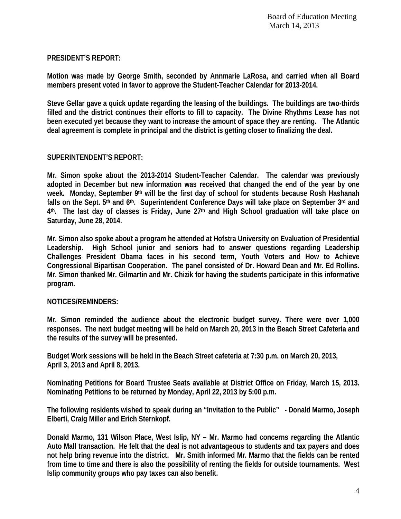# **PRESIDENT'S REPORT:**

**Motion was made by George Smith, seconded by Annmarie LaRosa, and carried when all Board members present voted in favor to approve the Student-Teacher Calendar for 2013-2014.** 

**Steve Gellar gave a quick update regarding the leasing of the buildings. The buildings are two-thirds filled and the district continues their efforts to fill to capacity. The Divine Rhythms Lease has not been executed yet because they want to increase the amount of space they are renting. The Atlantic deal agreement is complete in principal and the district is getting closer to finalizing the deal.** 

# **SUPERINTENDENT'S REPORT:**

**Mr. Simon spoke about the 2013-2014 Student-Teacher Calendar. The calendar was previously adopted in December but new information was received that changed the end of the year by one week. Monday, September 9th will be the first day of school for students because Rosh Hashanah falls on the Sept. 5th and 6th. Superintendent Conference Days will take place on September 3rd and 4th. The last day of classes is Friday, June 27th and High School graduation will take place on Saturday, June 28, 2014.** 

**Mr. Simon also spoke about a program he attended at Hofstra University on Evaluation of Presidential Leadership. High School junior and seniors had to answer questions regarding Leadership Challenges President Obama faces in his second term, Youth Voters and How to Achieve Congressional Bipartisan Cooperation. The panel consisted of Dr. Howard Dean and Mr. Ed Rollins. Mr. Simon thanked Mr. Gilmartin and Mr. Chizik for having the students participate in this informative program.** 

### **NOTICES/REMINDERS:**

**Mr. Simon reminded the audience about the electronic budget survey. There were over 1,000 responses. The next budget meeting will be held on March 20, 2013 in the Beach Street Cafeteria and the results of the survey will be presented.** 

**Budget Work sessions will be held in the Beach Street cafeteria at 7:30 p.m. on March 20, 2013, April 3, 2013 and April 8, 2013.** 

**Nominating Petitions for Board Trustee Seats available at District Office on Friday, March 15, 2013. Nominating Petitions to be returned by Monday, April 22, 2013 by 5:00 p.m.** 

**The following residents wished to speak during an "Invitation to the Public" - Donald Marmo, Joseph Elberti, Craig Miller and Erich Sternkopf.** 

**Donald Marmo, 131 Wilson Place, West Islip, NY – Mr. Marmo had concerns regarding the Atlantic Auto Mall transaction. He felt that the deal is not advantageous to students and tax payers and does not help bring revenue into the district. Mr. Smith informed Mr. Marmo that the fields can be rented from time to time and there is also the possibility of renting the fields for outside tournaments. West Islip community groups who pay taxes can also benefit.**